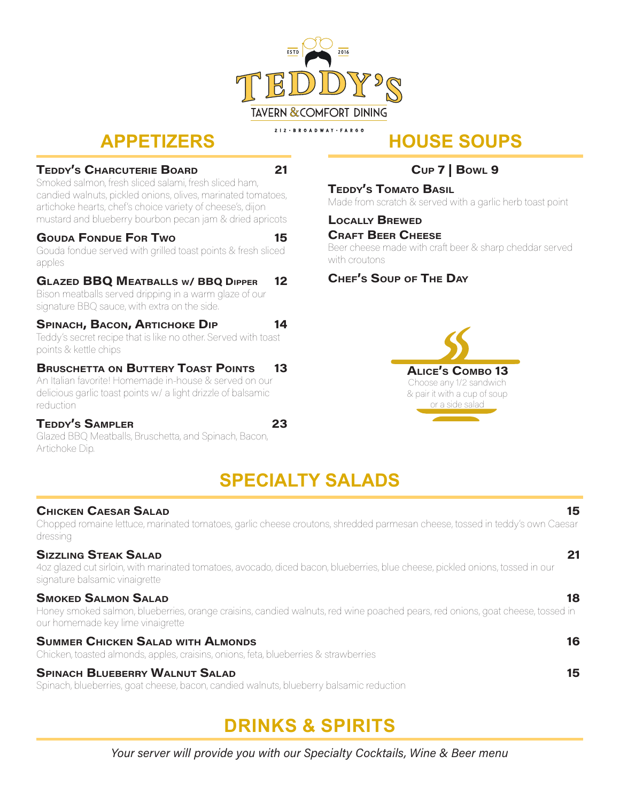

## **APPETIZERS**

#### TEDDY'S CHARCUTERIE BOARD 21

Smoked salmon, fresh sliced salami, fresh sliced ham, candied walnuts, pickled onions, olives, marinated tomatoes, artichoke hearts, chef's choice variety of cheese's, dijon mustard and blueberry bourbon pecan jam & dried apricots

#### GOUDA FONDUE FOR TWO **15**

Gouda fondue served with grilled toast points & fresh sliced apples

### Glazed BBQ Meatballs w/ BBQ Dipper 12

Bison meatballs served dripping in a warm glaze of our signature BBQ sauce, with extra on the side.

#### SPINACH, BACON, ARTICHOKE DIP 14

Teddy's secret recipe that is like no other. Served with toast points & kettle chips

### **BRUSCHETTA ON BUTTERY TOAST POINTS 13**

An Italian favorite! Homemade in-house & served on our delicious garlic toast points w/ a light drizzle of balsamic reduction

#### Teddy's Sampler 23

Glazed BBQ Meatballs, Bruschetta, and Spinach, Bacon, Artichoke Dip.

### Cup 7 | Bowl 9

**HOUSE SOUPS**

**TEDDY'S TOMATO BASIL** Made from scratch & served with a garlic herb toast point

#### Locally Brewed **CRAFT BEER CHEESE**

Beer cheese made with craft beer & sharp cheddar served with croutons

### Chef's Soup of The Day



## **SPECIALTY SALADS**

#### Chicken Caesar Salad 15

Chopped romaine lettuce, marinated tomatoes, garlic cheese croutons, shredded parmesan cheese, tossed in teddy's own Caesar dressing

#### Sizzling Steak Salad 21

4oz glazed cut sirloin, with marinated tomatoes, avocado, diced bacon, blueberries, blue cheese, pickled onions, tossed in our signature balsamic vinaigrette

#### **SMOKED SALMON SALAD** 18

Honey smoked salmon, blueberries, orange craisins, candied walnuts, red wine poached pears, red onions, goat cheese, tossed in our homemade key lime vinaigrette

#### SUMMER CHICKEN SALAD WITH ALMONDS **16 AU ALMONDS** 16

Chicken, toasted almonds, apples, craisins, onions, feta, blueberries & strawberries

#### SPINACH BLUEBERRY WALNUT SALAD 15

Spinach, blueberries, goat cheese, bacon, candied walnuts, blueberry balsamic reduction

# **DRINKS & SPIRITS**

Your server will provide you with our Specialty Cocktails, Wine & Beer menu